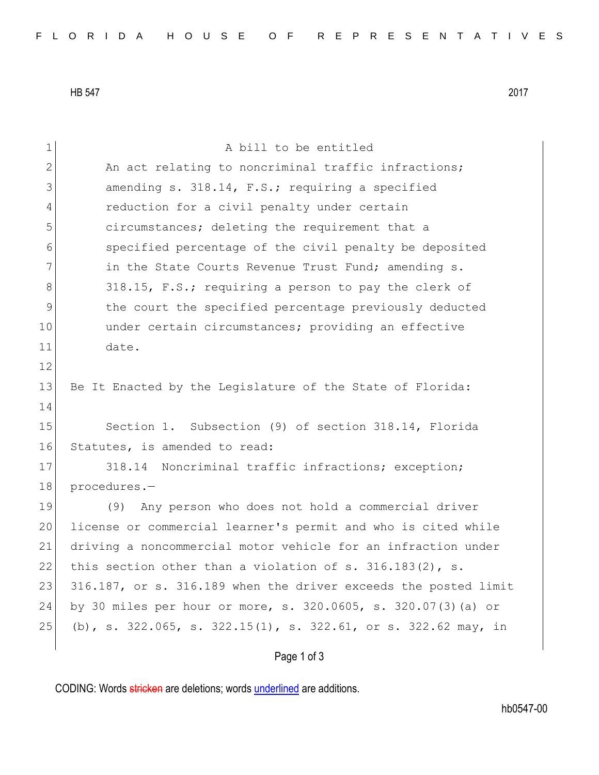HB 547 2017

| 1            | A bill to be entitled                                           |
|--------------|-----------------------------------------------------------------|
| $\mathbf{2}$ | An act relating to noncriminal traffic infractions;             |
| 3            | amending s. 318.14, F.S.; requiring a specified                 |
| 4            | reduction for a civil penalty under certain                     |
| 5            | circumstances; deleting the requirement that a                  |
| 6            | specified percentage of the civil penalty be deposited          |
| 7            | in the State Courts Revenue Trust Fund; amending s.             |
| 8            | 318.15, F.S.; requiring a person to pay the clerk of            |
| $\mathsf 9$  | the court the specified percentage previously deducted          |
| 10           | under certain circumstances; providing an effective             |
| 11           | date.                                                           |
| 12           |                                                                 |
| 13           | Be It Enacted by the Legislature of the State of Florida:       |
| 14           |                                                                 |
| 15           | Section 1. Subsection (9) of section 318.14, Florida            |
| 16           | Statutes, is amended to read:                                   |
| 17           | 318.14 Noncriminal traffic infractions; exception;              |
| 18           | procedures.-                                                    |
| 19           | Any person who does not hold a commercial driver<br>(9)         |
| 20           | license or commercial learner's permit and who is cited while   |
| 21           | driving a noncommercial motor vehicle for an infraction under   |
| 22           | this section other than a violation of s. $316.183(2)$ , s.     |
| 23           | 316.187, or s. 316.189 when the driver exceeds the posted limit |
| 24           | by 30 miles per hour or more, s. 320.0605, s. 320.07(3) (a) or  |
| 25           | (b), s. 322.065, s. 322.15(1), s. 322.61, or s. 322.62 may, in  |
|              | Page 1 of 3                                                     |

CODING: Words stricken are deletions; words underlined are additions.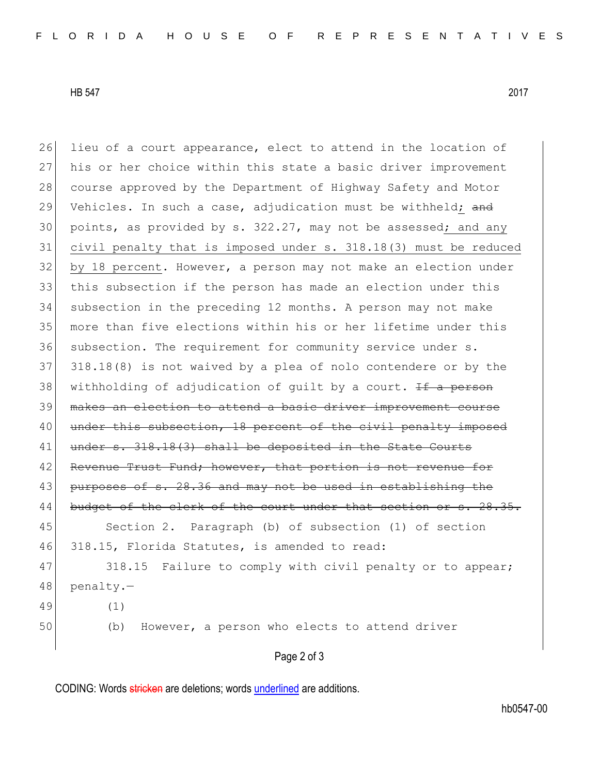HB 547 2017

26 lieu of a court appearance, elect to attend in the location of 27 his or her choice within this state a basic driver improvement 28 course approved by the Department of Highway Safety and Motor 29 Vehicles. In such a case, adjudication must be withheld; and 30 points, as provided by s. 322.27, may not be assessed; and any 31 civil penalty that is imposed under s. 318.18(3) must be reduced 32 by 18 percent. However, a person may not make an election under 33 this subsection if the person has made an election under this 34 subsection in the preceding 12 months. A person may not make 35 more than five elections within his or her lifetime under this 36 subsection. The requirement for community service under s. 37 318.18(8) is not waived by a plea of nolo contendere or by the 38 withholding of adjudication of quilt by a court.  $\pm f$  a person 39 makes an election to attend a basic driver improvement course 40 under this subsection, 18 percent of the civil penalty imposed 41 under s. 318.18(3) shall be deposited in the State Courts 42 Revenue Trust Fund; however, that portion is not 43 purposes of s. 28.36 and may not be used in establishing the 44 budget of the clerk of the court under that section or s. 28.35. 45 Section 2. Paragraph (b) of subsection (1) of section 46 318.15, Florida Statutes, is amended to read: 47 318.15 Failure to comply with civil penalty or to appear; 48 penalty.-49 (1) 50 (b) However, a person who elects to attend driver

## Page 2 of 3

CODING: Words stricken are deletions; words underlined are additions.